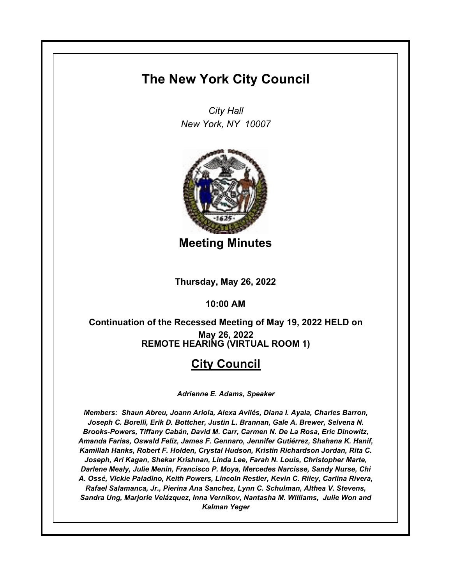# **The New York City Council**

*City Hall New York, NY 10007*



**Meeting Minutes**

**Thursday, May 26, 2022**

**10:00 AM**

### **REMOTE HEARING (VIRTUAL ROOM 1) Continuation of the Recessed Meeting of May 19, 2022 HELD on May 26, 2022**

## **City Council**

*Adrienne E. Adams, Speaker*

*Members: Shaun Abreu, Joann Ariola, Alexa Avilés, Diana I. Ayala, Charles Barron, Joseph C. Borelli, Erik D. Bottcher, Justin L. Brannan, Gale A. Brewer, Selvena N. Brooks-Powers, Tiffany Cabán, David M. Carr, Carmen N. De La Rosa, Eric Dinowitz, Amanda Farias, Oswald Feliz, James F. Gennaro, Jennifer Gutiérrez, Shahana K. Hanif, Kamillah Hanks, Robert F. Holden, Crystal Hudson, Kristin Richardson Jordan, Rita C. Joseph, Ari Kagan, Shekar Krishnan, Linda Lee, Farah N. Louis, Christopher Marte, Darlene Mealy, Julie Menin, Francisco P. Moya, Mercedes Narcisse, Sandy Nurse, Chi A. Ossé, Vickie Paladino, Keith Powers, Lincoln Restler, Kevin C. Riley, Carlina Rivera, Rafael Salamanca, Jr., Pierina Ana Sanchez, Lynn C. Schulman, Althea V. Stevens, Sandra Ung, Marjorie Velázquez, Inna Vernikov, Nantasha M. Williams, Julie Won and Kalman Yeger*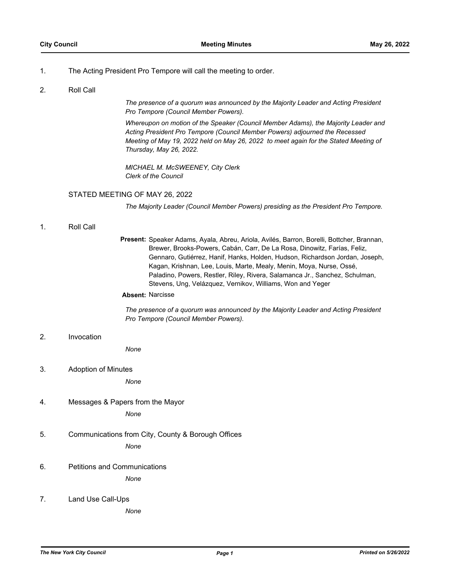#### 1. The Acting President Pro Tempore will call the meeting to order.

#### 2. Roll Call

*The presence of a quorum was announced by the Majority Leader and Acting President Pro Tempore (Council Member Powers).*

*Whereupon on motion of the Speaker (Council Member Adams), the Majority Leader and Acting President Pro Tempore (Council Member Powers) adjourned the Recessed Meeting of May 19, 2022 held on May 26, 2022 to meet again for the Stated Meeting of Thursday, May 26, 2022.*

*MICHAEL M. McSWEENEY, City Clerk Clerk of the Council*

### STATED MEETING OF MAY 26, 2022

*The Majority Leader (Council Member Powers) presiding as the President Pro Tempore.*

1. Roll Call

Present: Speaker Adams, Ayala, Abreu, Ariola, Avilés, Barron, Borelli, Bottcher, Brannan, Brewer, Brooks-Powers, Cabán, Carr, De La Rosa, Dinowitz, Farías, Feliz, Gennaro, Gutiérrez, Hanif, Hanks, Holden, Hudson, Richardson Jordan, Joseph, Kagan, Krishnan, Lee, Louis, Marte, Mealy, Menin, Moya, Nurse, Ossé, Paladino, Powers, Restler, Riley, Rivera, Salamanca Jr., Sanchez, Schulman, Stevens, Ung, Velázquez, Vernikov, Williams, Won and Yeger

#### **Absent:** Narcisse

*The presence of a quorum was announced by the Majority Leader and Acting President Pro Tempore (Council Member Powers).*

#### 2. Invocation

*None*

3. Adoption of Minutes

*None*

4. Messages & Papers from the Mayor

*None*

- 5. Communications from City, County & Borough Offices *None*
- 6. Petitions and Communications

*None*

7. Land Use Call-Ups

*None*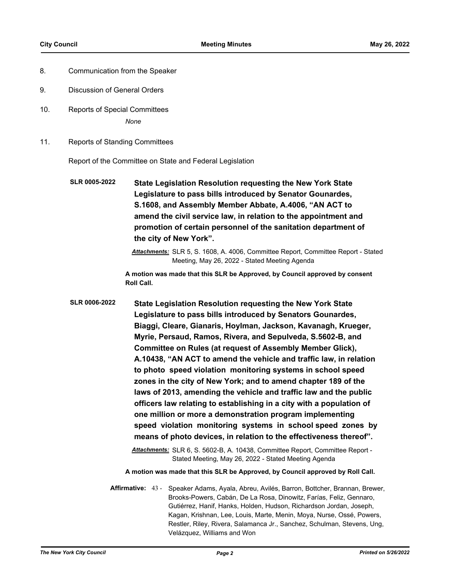- 8. Communication from the Speaker
- 9. Discussion of General Orders
- 10. Reports of Special Committees *None*
- 11. Reports of Standing Committees

Report of the Committee on State and Federal Legislation

**State Legislation Resolution requesting the New York State Legislature to pass bills introduced by Senator Gounardes, S.1608, and Assembly Member Abbate, A.4006, "AN ACT to amend the civil service law, in relation to the appointment and promotion of certain personnel of the sanitation department of the city of New York". SLR 0005-2022**

> *Attachments:* SLR 5, S. 1608, A. 4006, Committee Report, Committee Report - Stated Meeting, May 26, 2022 - Stated Meeting Agenda

**A motion was made that this SLR be Approved, by Council approved by consent Roll Call.**

**State Legislation Resolution requesting the New York State Legislature to pass bills introduced by Senators Gounardes, Biaggi, Cleare, Gianaris, Hoylman, Jackson, Kavanagh, Krueger, Myrie, Persaud, Ramos, Rivera, and Sepulveda, S.5602-B, and Committee on Rules (at request of Assembly Member Glick), A.10438, "AN ACT to amend the vehicle and traffic law, in relation to photo speed violation monitoring systems in school speed zones in the city of New York; and to amend chapter 189 of the laws of 2013, amending the vehicle and traffic law and the public officers law relating to establishing in a city with a population of one million or more a demonstration program implementing speed violation monitoring systems in school speed zones by means of photo devices, in relation to the effectiveness thereof". SLR 0006-2022**

> *Attachments:* SLR 6, S. 5602-B, A. 10438, Committee Report, Committee Report - Stated Meeting, May 26, 2022 - Stated Meeting Agenda

**A motion was made that this SLR be Approved, by Council approved by Roll Call.**

Affirmative: 43 - Speaker Adams, Ayala, Abreu, Avilés, Barron, Bottcher, Brannan, Brewer, Brooks-Powers, Cabán, De La Rosa, Dinowitz, Farías, Feliz, Gennaro, Gutiérrez, Hanif, Hanks, Holden, Hudson, Richardson Jordan, Joseph, Kagan, Krishnan, Lee, Louis, Marte, Menin, Moya, Nurse, Ossé, Powers, Restler, Riley, Rivera, Salamanca Jr., Sanchez, Schulman, Stevens, Ung, Velázquez, Williams and Won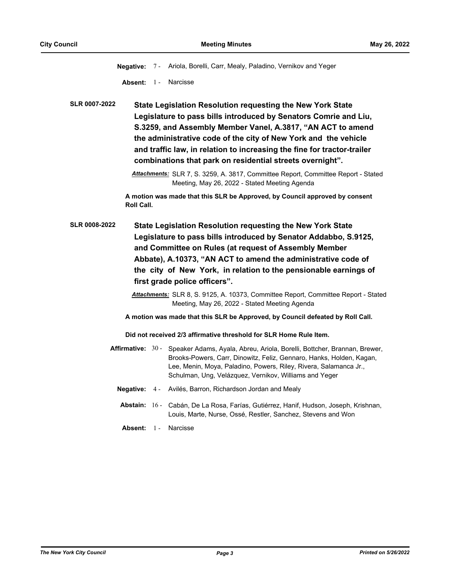**Negative:** 7 - Ariola, Borelli, Carr, Mealy, Paladino, Vernikov and Yeger

**Absent:** 1 - Narcisse

**State Legislation Resolution requesting the New York State Legislature to pass bills introduced by Senators Comrie and Liu, S.3259, and Assembly Member Vanel, A.3817, "AN ACT to amend the administrative code of the city of New York and the vehicle and traffic law, in relation to increasing the fine for tractor-trailer combinations that park on residential streets overnight". SLR 0007-2022**

**A motion was made that this SLR be Approved, by Council approved by consent Roll Call.**

- **State Legislation Resolution requesting the New York State Legislature to pass bills introduced by Senator Addabbo, S.9125, and Committee on Rules (at request of Assembly Member Abbate), A.10373, "AN ACT to amend the administrative code of the city of New York, in relation to the pensionable earnings of first grade police officers". SLR 0008-2022**
	- *Attachments:* SLR 8, S. 9125, A. 10373, Committee Report, Committee Report Stated Meeting, May 26, 2022 - Stated Meeting Agenda

**A motion was made that this SLR be Approved, by Council defeated by Roll Call.**

**Did not received 2/3 affirmative threshold for SLR Home Rule Item.**

- Affirmative: 30 Speaker Adams, Ayala, Abreu, Ariola, Borelli, Bottcher, Brannan, Brewer, Brooks-Powers, Carr, Dinowitz, Feliz, Gennaro, Hanks, Holden, Kagan, Lee, Menin, Moya, Paladino, Powers, Riley, Rivera, Salamanca Jr., Schulman, Ung, Velázquez, Vernikov, Williams and Yeger
	- **Negative:** 4 Avilés, Barron, Richardson Jordan and Mealy
	- Abstain: 16 Cabán, De La Rosa, Farías, Gutiérrez, Hanif, Hudson, Joseph, Krishnan, Louis, Marte, Nurse, Ossé, Restler, Sanchez, Stevens and Won
	- **Absent:** 1 Narcisse

*Attachments:* SLR 7, S. 3259, A. 3817, Committee Report, Committee Report - Stated Meeting, May 26, 2022 - Stated Meeting Agenda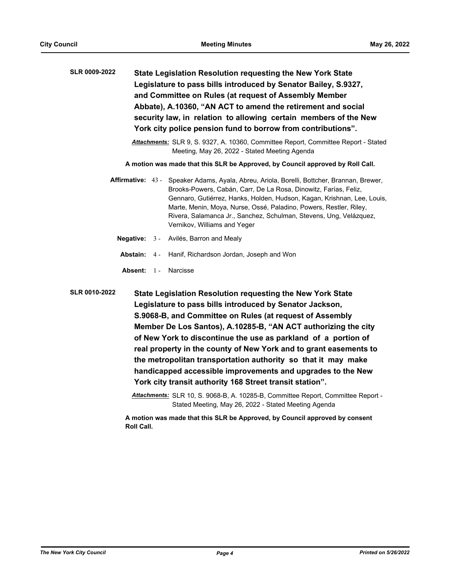| <b>SLR 0009-2022</b><br>State Legislation Resolution requesting the New York State<br>Legislature to pass bills introduced by Senator Bailey, S.9327,<br>and Committee on Rules (at request of Assembly Member<br>Abbate), A.10360, "AN ACT to amend the retirement and social<br>security law, in relation to allowing certain members of the New<br>York city police pension fund to borrow from contributions".<br>Attachments: SLR 9, S. 9327, A. 10360, Committee Report, Committee Report - Stated<br>Meeting, May 26, 2022 - Stated Meeting Agenda |         |       |                                                                                                                                                                                                                                                                                                                                                                                                                                                                                                                                                                                         |
|-----------------------------------------------------------------------------------------------------------------------------------------------------------------------------------------------------------------------------------------------------------------------------------------------------------------------------------------------------------------------------------------------------------------------------------------------------------------------------------------------------------------------------------------------------------|---------|-------|-----------------------------------------------------------------------------------------------------------------------------------------------------------------------------------------------------------------------------------------------------------------------------------------------------------------------------------------------------------------------------------------------------------------------------------------------------------------------------------------------------------------------------------------------------------------------------------------|
|                                                                                                                                                                                                                                                                                                                                                                                                                                                                                                                                                           |         |       | A motion was made that this SLR be Approved, by Council approved by Roll Call.                                                                                                                                                                                                                                                                                                                                                                                                                                                                                                          |
| <b>Affirmative: 43 -</b>                                                                                                                                                                                                                                                                                                                                                                                                                                                                                                                                  |         |       | Speaker Adams, Ayala, Abreu, Ariola, Borelli, Bottcher, Brannan, Brewer,<br>Brooks-Powers, Cabán, Carr, De La Rosa, Dinowitz, Farías, Feliz,<br>Gennaro, Gutiérrez, Hanks, Holden, Hudson, Kagan, Krishnan, Lee, Louis,<br>Marte, Menin, Moya, Nurse, Ossé, Paladino, Powers, Restler, Riley,<br>Rivera, Salamanca Jr., Sanchez, Schulman, Stevens, Ung, Velázquez,<br>Vernikov, Williams and Yeger                                                                                                                                                                                     |
| Negative:                                                                                                                                                                                                                                                                                                                                                                                                                                                                                                                                                 |         | $3 -$ | Avilés, Barron and Mealy                                                                                                                                                                                                                                                                                                                                                                                                                                                                                                                                                                |
| Abstain:                                                                                                                                                                                                                                                                                                                                                                                                                                                                                                                                                  |         | $4 -$ | Hanif, Richardson Jordan, Joseph and Won                                                                                                                                                                                                                                                                                                                                                                                                                                                                                                                                                |
|                                                                                                                                                                                                                                                                                                                                                                                                                                                                                                                                                           | Absent: | $1 -$ | Narcisse                                                                                                                                                                                                                                                                                                                                                                                                                                                                                                                                                                                |
| <b>SLR 0010-2022</b>                                                                                                                                                                                                                                                                                                                                                                                                                                                                                                                                      |         |       | State Legislation Resolution requesting the New York State<br>Legislature to pass bills introduced by Senator Jackson,<br>S.9068-B, and Committee on Rules (at request of Assembly<br>Member De Los Santos), A.10285-B, "AN ACT authorizing the city<br>of New York to discontinue the use as parkland of a portion of<br>real property in the county of New York and to grant easements to<br>the metropolitan transportation authority so that it may make<br>handicapped accessible improvements and upgrades to the New<br>York city transit authority 168 Street transit station". |

*Attachments:* SLR 10, S. 9068-B, A. 10285-B, Committee Report, Committee Report - Stated Meeting, May 26, 2022 - Stated Meeting Agenda

**A motion was made that this SLR be Approved, by Council approved by consent Roll Call.**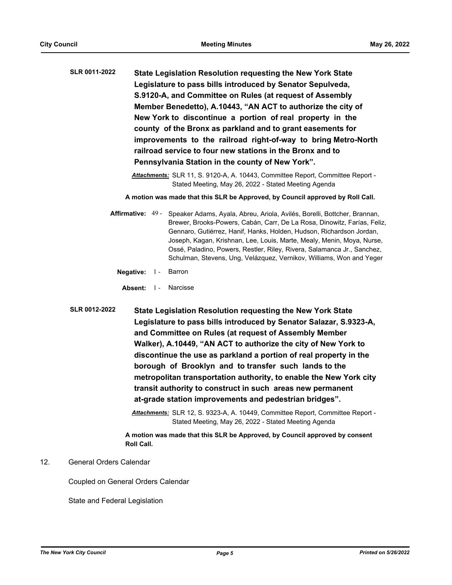- **State Legislation Resolution requesting the New York State Legislature to pass bills introduced by Senator Sepulveda, S.9120-A, and Committee on Rules (at request of Assembly Member Benedetto), A.10443, "AN ACT to authorize the city of New York to discontinue a portion of real property in the county of the Bronx as parkland and to grant easements for improvements to the railroad right-of-way to bring Metro-North railroad service to four new stations in the Bronx and to Pennsylvania Station in the county of New York". SLR 0011-2022**
	- *Attachments:* SLR 11, S. 9120-A, A. 10443, Committee Report, Committee Report Stated Meeting, May 26, 2022 - Stated Meeting Agenda

**A motion was made that this SLR be Approved, by Council approved by Roll Call.**

- Affirmative: 49 Speaker Adams, Ayala, Abreu, Ariola, Avilés, Borelli, Bottcher, Brannan, Brewer, Brooks-Powers, Cabán, Carr, De La Rosa, Dinowitz, Farías, Feliz, Gennaro, Gutiérrez, Hanif, Hanks, Holden, Hudson, Richardson Jordan, Joseph, Kagan, Krishnan, Lee, Louis, Marte, Mealy, Menin, Moya, Nurse, Ossé, Paladino, Powers, Restler, Riley, Rivera, Salamanca Jr., Sanchez, Schulman, Stevens, Ung, Velázquez, Vernikov, Williams, Won and Yeger
	- **Negative:** 1 Barron
	- Absent: 1 Narcisse
- **State Legislation Resolution requesting the New York State Legislature to pass bills introduced by Senator Salazar, S.9323-A, and Committee on Rules (at request of Assembly Member Walker), A.10449, "AN ACT to authorize the city of New York to discontinue the use as parkland a portion of real property in the borough of Brooklyn and to transfer such lands to the metropolitan transportation authority, to enable the New York city transit authority to construct in such areas new permanent at-grade station improvements and pedestrian bridges". SLR 0012-2022**

*Attachments:* SLR 12, S. 9323-A, A. 10449, Committee Report, Committee Report - Stated Meeting, May 26, 2022 - Stated Meeting Agenda

**A motion was made that this SLR be Approved, by Council approved by consent Roll Call.**

#### 12. General Orders Calendar

Coupled on General Orders Calendar

State and Federal Legislation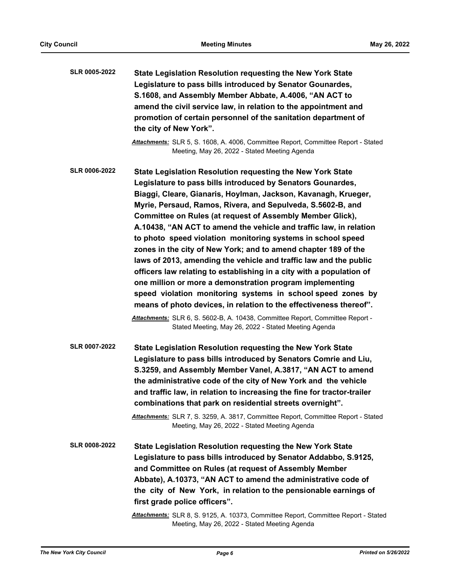| <b>SLR 0005-2022</b> | State Legislation Resolution requesting the New York State<br>Legislature to pass bills introduced by Senator Gounardes,<br>S.1608, and Assembly Member Abbate, A.4006, "AN ACT to<br>amend the civil service law, in relation to the appointment and<br>promotion of certain personnel of the sanitation department of<br>the city of New York".                                                                                                                                                                                                                                                                                                                                                                                                                                                                                                                                                                                                                                                                     |
|----------------------|-----------------------------------------------------------------------------------------------------------------------------------------------------------------------------------------------------------------------------------------------------------------------------------------------------------------------------------------------------------------------------------------------------------------------------------------------------------------------------------------------------------------------------------------------------------------------------------------------------------------------------------------------------------------------------------------------------------------------------------------------------------------------------------------------------------------------------------------------------------------------------------------------------------------------------------------------------------------------------------------------------------------------|
|                      | Attachments: SLR 5, S. 1608, A. 4006, Committee Report, Committee Report - Stated<br>Meeting, May 26, 2022 - Stated Meeting Agenda                                                                                                                                                                                                                                                                                                                                                                                                                                                                                                                                                                                                                                                                                                                                                                                                                                                                                    |
| <b>SLR 0006-2022</b> | State Legislation Resolution requesting the New York State<br>Legislature to pass bills introduced by Senators Gounardes,<br>Biaggi, Cleare, Gianaris, Hoylman, Jackson, Kavanagh, Krueger,<br>Myrie, Persaud, Ramos, Rivera, and Sepulveda, S.5602-B, and<br>Committee on Rules (at request of Assembly Member Glick),<br>A.10438, "AN ACT to amend the vehicle and traffic law, in relation<br>to photo speed violation monitoring systems in school speed<br>zones in the city of New York; and to amend chapter 189 of the<br>laws of 2013, amending the vehicle and traffic law and the public<br>officers law relating to establishing in a city with a population of<br>one million or more a demonstration program implementing<br>speed violation monitoring systems in school speed zones by<br>means of photo devices, in relation to the effectiveness thereof".<br>Attachments: SLR 6, S. 5602-B, A. 10438, Committee Report, Committee Report -<br>Stated Meeting, May 26, 2022 - Stated Meeting Agenda |
| <b>SLR 0007-2022</b> | State Legislation Resolution requesting the New York State<br>Legislature to pass bills introduced by Senators Comrie and Liu,<br>S.3259, and Assembly Member Vanel, A.3817, "AN ACT to amend<br>the administrative code of the city of New York and the vehicle<br>and traffic law, in relation to increasing the fine for tractor-trailer<br>combinations that park on residential streets overnight".<br>Attachments: SLR 7, S. 3259, A. 3817, Committee Report, Committee Report - Stated<br>Meeting, May 26, 2022 - Stated Meeting Agenda                                                                                                                                                                                                                                                                                                                                                                                                                                                                        |
| <b>SLR 0008-2022</b> | <b>State Legislation Resolution requesting the New York State</b><br>Legislature to pass bills introduced by Senator Addabbo, S.9125,<br>and Committee on Rules (at request of Assembly Member<br>Abbate), A.10373, "AN ACT to amend the administrative code of<br>the city of New York, in relation to the pensionable earnings of<br>first grade police officers".<br><b>Attachments:</b> SLR 8, S. 9125, A. 10373, Committee Report, Committee Report - Stated<br>Meeting, May 26, 2022 - Stated Meeting Agenda                                                                                                                                                                                                                                                                                                                                                                                                                                                                                                    |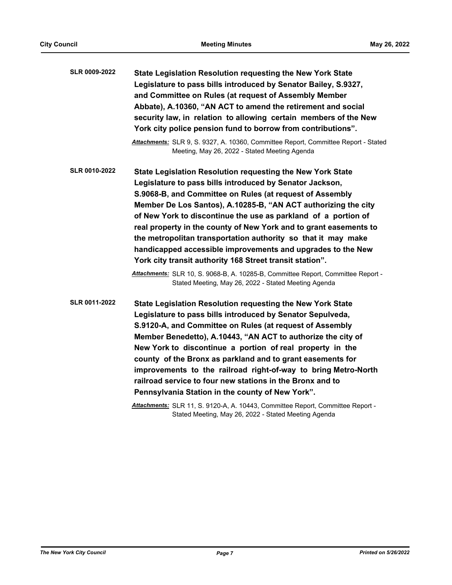| State Legislation Resolution requesting the New York State<br>Legislature to pass bills introduced by Senator Bailey, S.9327,<br>and Committee on Rules (at request of Assembly Member<br>Abbate), A.10360, "AN ACT to amend the retirement and social<br>security law, in relation to allowing certain members of the New<br>York city police pension fund to borrow from contributions".                                                                                                                                                                                                                                                                                                                                          |
|-------------------------------------------------------------------------------------------------------------------------------------------------------------------------------------------------------------------------------------------------------------------------------------------------------------------------------------------------------------------------------------------------------------------------------------------------------------------------------------------------------------------------------------------------------------------------------------------------------------------------------------------------------------------------------------------------------------------------------------|
| Attachments: SLR 9, S. 9327, A. 10360, Committee Report, Committee Report - Stated<br>Meeting, May 26, 2022 - Stated Meeting Agenda                                                                                                                                                                                                                                                                                                                                                                                                                                                                                                                                                                                                 |
| State Legislation Resolution requesting the New York State<br>Legislature to pass bills introduced by Senator Jackson,<br>S.9068-B, and Committee on Rules (at request of Assembly<br>Member De Los Santos), A.10285-B, "AN ACT authorizing the city<br>of New York to discontinue the use as parkland of a portion of<br>real property in the county of New York and to grant easements to<br>the metropolitan transportation authority so that it may make<br>handicapped accessible improvements and upgrades to the New<br>York city transit authority 168 Street transit station".<br>Attachments: SLR 10, S. 9068-B, A. 10285-B, Committee Report, Committee Report -<br>Stated Meeting, May 26, 2022 - Stated Meeting Agenda |
| State Legislation Resolution requesting the New York State<br>Legislature to pass bills introduced by Senator Sepulveda,<br>S.9120-A, and Committee on Rules (at request of Assembly<br>Member Benedetto), A.10443, "AN ACT to authorize the city of<br>New York to discontinue a portion of real property in the<br>county of the Bronx as parkland and to grant easements for<br>improvements to the railroad right-of-way to bring Metro-North<br>railroad service to four new stations in the Bronx and to<br>Pennsylvania Station in the county of New York".<br>Attachments: SLR 11, S. 9120-A, A. 10443, Committee Report, Committee Report -                                                                                |
|                                                                                                                                                                                                                                                                                                                                                                                                                                                                                                                                                                                                                                                                                                                                     |

Stated Meeting, May 26, 2022 - Stated Meeting Agenda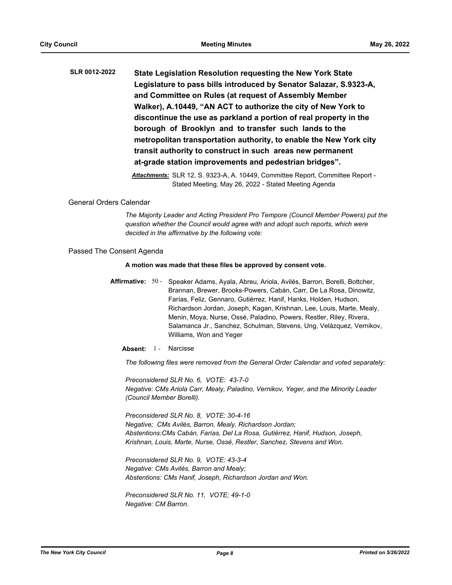**State Legislation Resolution requesting the New York State Legislature to pass bills introduced by Senator Salazar, S.9323-A, and Committee on Rules (at request of Assembly Member Walker), A.10449, "AN ACT to authorize the city of New York to discontinue the use as parkland a portion of real property in the borough of Brooklyn and to transfer such lands to the metropolitan transportation authority, to enable the New York city transit authority to construct in such areas new permanent at-grade station improvements and pedestrian bridges". SLR 0012-2022**

> *Attachments:* SLR 12, S. 9323-A, A. 10449, Committee Report, Committee Report - Stated Meeting, May 26, 2022 - Stated Meeting Agenda

#### General Orders Calendar

*The Majority Leader and Acting President Pro Tempore (Council Member Powers) put the question whether the Council would agree with and adopt such reports, which were decided in the affirmative by the following vote:*

#### Passed The Consent Agenda

#### **A motion was made that these files be approved by consent vote.**

Affirmative: 50 - Speaker Adams, Ayala, Abreu, Ariola, Avilés, Barron, Borelli, Bottcher, Brannan, Brewer, Brooks-Powers, Cabán, Carr, De La Rosa, Dinowitz, Farías, Feliz, Gennaro, Gutiérrez, Hanif, Hanks, Holden, Hudson, Richardson Jordan, Joseph, Kagan, Krishnan, Lee, Louis, Marte, Mealy, Menin, Moya, Nurse, Ossé, Paladino, Powers, Restler, Riley, Rivera, Salamanca Jr., Sanchez, Schulman, Stevens, Ung, Velázquez, Vernikov, Williams, Won and Yeger

Absent: 1 - Narcisse

*The following files were removed from the General Order Calendar and voted separately:*

*Preconsidered SLR No. 6, VOTE: 43-7-0 Negative: CMs Ariola Carr, Mealy, Paladino, Vernikov, Yeger, and the Minority Leader (Council Member Borelli).*

*Preconsidered SLR No. 8, VOTE: 30-4-16 Negative; CMs Avilés, Barron, Mealy, Richardson Jordan; Abstentions:CMs Cabán, Farías, Del La Rosa, Gutiérrez, Hanif, Hudson, Joseph, Krishnan, Louis, Marte, Nurse, Ossé, Restler, Sanchez, Stevens and Won.*

*Preconsidered SLR No. 9, VOTE: 43-3-4 Negative: CMs Avilés, Barron and Mealy; Abstentions: CMs Hanif, Joseph, Richardson Jordan and Won.*

*Preconsidered SLR No. 11, VOTE; 49-1-0 Negative: CM Barron.*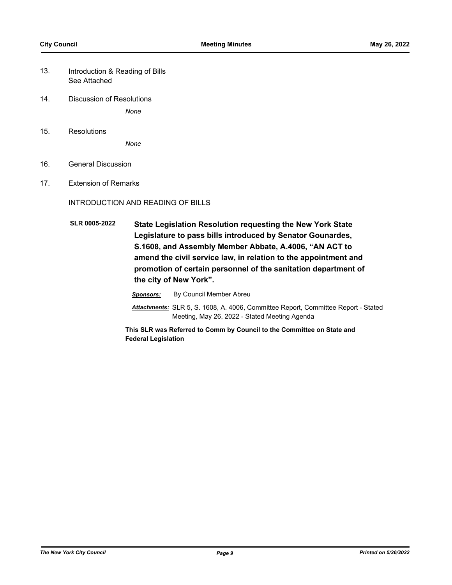- Introduction & Reading of Bills See Attached 13.
- 14. Discussion of Resolutions *None*
- 15. Resolutions

*None*

- 16. General Discussion
- 17. Extension of Remarks

#### INTRODUCTION AND READING OF BILLS

**State Legislation Resolution requesting the New York State Legislature to pass bills introduced by Senator Gounardes, S.1608, and Assembly Member Abbate, A.4006, "AN ACT to amend the civil service law, in relation to the appointment and promotion of certain personnel of the sanitation department of the city of New York". SLR 0005-2022**

*Sponsors:* By Council Member Abreu

*Attachments:* SLR 5, S. 1608, A. 4006, Committee Report, Committee Report - Stated Meeting, May 26, 2022 - Stated Meeting Agenda

**This SLR was Referred to Comm by Council to the Committee on State and Federal Legislation**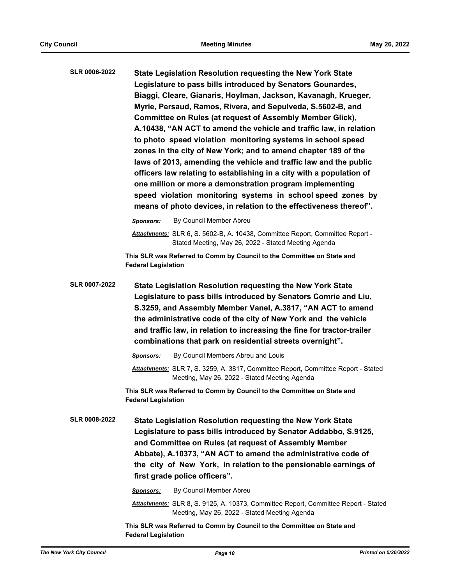| <b>SLR 0006-2022</b> | State Legislation Resolution requesting the New York State           |
|----------------------|----------------------------------------------------------------------|
|                      | Legislature to pass bills introduced by Senators Gounardes,          |
|                      | Biaggi, Cleare, Gianaris, Hoylman, Jackson, Kavanagh, Krueger,       |
|                      | Myrie, Persaud, Ramos, Rivera, and Sepulveda, S.5602-B, and          |
|                      | Committee on Rules (at request of Assembly Member Glick),            |
|                      | A.10438, "AN ACT to amend the vehicle and traffic law, in relation   |
|                      | to photo speed violation monitoring systems in school speed          |
|                      | zones in the city of New York; and to amend chapter 189 of the       |
|                      | laws of 2013, amending the vehicle and traffic law and the public    |
|                      | officers law relating to establishing in a city with a population of |
|                      | one million or more a demonstration program implementing             |
|                      | speed violation monitoring systems in school speed zones by          |
|                      | means of photo devices, in relation to the effectiveness thereof".   |
|                      |                                                                      |

*Sponsors:* By Council Member Abreu

*Attachments:* SLR 6, S. 5602-B, A. 10438, Committee Report, Committee Report - Stated Meeting, May 26, 2022 - Stated Meeting Agenda

**This SLR was Referred to Comm by Council to the Committee on State and Federal Legislation**

**State Legislation Resolution requesting the New York State Legislature to pass bills introduced by Senators Comrie and Liu, S.3259, and Assembly Member Vanel, A.3817, "AN ACT to amend the administrative code of the city of New York and the vehicle and traffic law, in relation to increasing the fine for tractor-trailer combinations that park on residential streets overnight". SLR 0007-2022**

*Sponsors:* By Council Members Abreu and Louis

*Attachments:* SLR 7, S. 3259, A. 3817, Committee Report, Committee Report - Stated Meeting, May 26, 2022 - Stated Meeting Agenda

**This SLR was Referred to Comm by Council to the Committee on State and Federal Legislation**

**State Legislation Resolution requesting the New York State Legislature to pass bills introduced by Senator Addabbo, S.9125, and Committee on Rules (at request of Assembly Member Abbate), A.10373, "AN ACT to amend the administrative code of the city of New York, in relation to the pensionable earnings of first grade police officers". SLR 0008-2022**

*Sponsors:* By Council Member Abreu

*Attachments:* SLR 8, S. 9125, A. 10373, Committee Report, Committee Report - Stated Meeting, May 26, 2022 - Stated Meeting Agenda

**This SLR was Referred to Comm by Council to the Committee on State and Federal Legislation**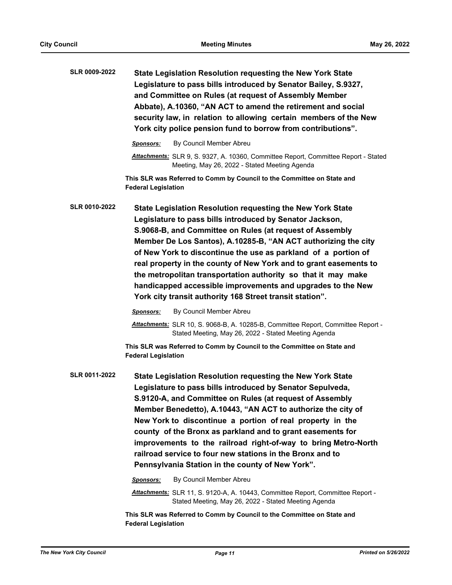| SLR 0009-2022 | State Legislation Resolution requesting the New York State       |
|---------------|------------------------------------------------------------------|
|               | Legislature to pass bills introduced by Senator Bailey, S.9327,  |
|               | and Committee on Rules (at request of Assembly Member            |
|               | Abbate), A.10360, "AN ACT to amend the retirement and social     |
|               | security law, in relation to allowing certain members of the New |
|               | York city police pension fund to borrow from contributions".     |
|               |                                                                  |

*Sponsors:* By Council Member Abreu

**This SLR was Referred to Comm by Council to the Committee on State and Federal Legislation**

**State Legislation Resolution requesting the New York State Legislature to pass bills introduced by Senator Jackson, S.9068-B, and Committee on Rules (at request of Assembly Member De Los Santos), A.10285-B, "AN ACT authorizing the city of New York to discontinue the use as parkland of a portion of real property in the county of New York and to grant easements to the metropolitan transportation authority so that it may make handicapped accessible improvements and upgrades to the New York city transit authority 168 Street transit station". SLR 0010-2022**

*Sponsors:* By Council Member Abreu

*Attachments:* SLR 10, S. 9068-B, A. 10285-B, Committee Report, Committee Report - Stated Meeting, May 26, 2022 - Stated Meeting Agenda

**This SLR was Referred to Comm by Council to the Committee on State and Federal Legislation**

**State Legislation Resolution requesting the New York State Legislature to pass bills introduced by Senator Sepulveda, S.9120-A, and Committee on Rules (at request of Assembly Member Benedetto), A.10443, "AN ACT to authorize the city of New York to discontinue a portion of real property in the county of the Bronx as parkland and to grant easements for improvements to the railroad right-of-way to bring Metro-North railroad service to four new stations in the Bronx and to Pennsylvania Station in the county of New York". SLR 0011-2022**

*Sponsors:* By Council Member Abreu

*Attachments:* SLR 11, S. 9120-A, A. 10443, Committee Report, Committee Report - Stated Meeting, May 26, 2022 - Stated Meeting Agenda

**This SLR was Referred to Comm by Council to the Committee on State and Federal Legislation**

*Attachments:* SLR 9, S. 9327, A. 10360, Committee Report, Committee Report - Stated Meeting, May 26, 2022 - Stated Meeting Agenda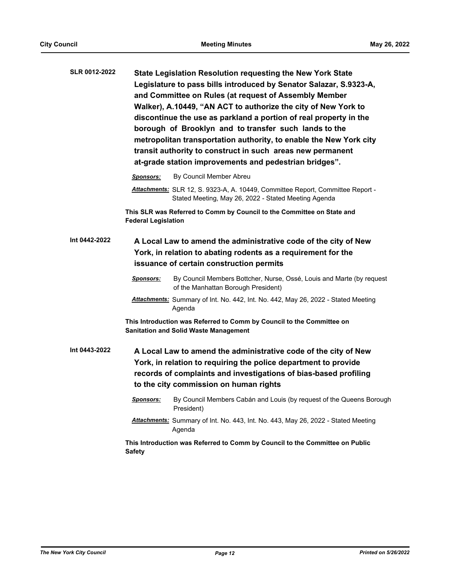| <b>SLR 0012-2022</b> | <b>State Legislation Resolution requesting the New York State</b><br>Legislature to pass bills introduced by Senator Salazar, S.9323-A,<br>and Committee on Rules (at request of Assembly Member<br>Walker), A.10449, "AN ACT to authorize the city of New York to<br>discontinue the use as parkland a portion of real property in the<br>borough of Brooklyn and to transfer such lands to the<br>metropolitan transportation authority, to enable the New York city<br>transit authority to construct in such areas new permanent<br>at-grade station improvements and pedestrian bridges". |                                                                                                                                                                                                                                                  |  |  |
|----------------------|------------------------------------------------------------------------------------------------------------------------------------------------------------------------------------------------------------------------------------------------------------------------------------------------------------------------------------------------------------------------------------------------------------------------------------------------------------------------------------------------------------------------------------------------------------------------------------------------|--------------------------------------------------------------------------------------------------------------------------------------------------------------------------------------------------------------------------------------------------|--|--|
|                      | <b>Sponsors:</b>                                                                                                                                                                                                                                                                                                                                                                                                                                                                                                                                                                               | By Council Member Abreu                                                                                                                                                                                                                          |  |  |
|                      |                                                                                                                                                                                                                                                                                                                                                                                                                                                                                                                                                                                                | Attachments: SLR 12, S. 9323-A, A. 10449, Committee Report, Committee Report -<br>Stated Meeting, May 26, 2022 - Stated Meeting Agenda                                                                                                           |  |  |
|                      | <b>Federal Legislation</b>                                                                                                                                                                                                                                                                                                                                                                                                                                                                                                                                                                     | This SLR was Referred to Comm by Council to the Committee on State and                                                                                                                                                                           |  |  |
| Int 0442-2022        |                                                                                                                                                                                                                                                                                                                                                                                                                                                                                                                                                                                                | A Local Law to amend the administrative code of the city of New<br>York, in relation to abating rodents as a requirement for the<br>issuance of certain construction permits                                                                     |  |  |
|                      | Sponsors:                                                                                                                                                                                                                                                                                                                                                                                                                                                                                                                                                                                      | By Council Members Bottcher, Nurse, Ossé, Louis and Marte (by request<br>of the Manhattan Borough President)                                                                                                                                     |  |  |
|                      |                                                                                                                                                                                                                                                                                                                                                                                                                                                                                                                                                                                                | <b>Attachments:</b> Summary of Int. No. 442, Int. No. 442, May 26, 2022 - Stated Meeting<br>Agenda                                                                                                                                               |  |  |
|                      | This Introduction was Referred to Comm by Council to the Committee on<br><b>Sanitation and Solid Waste Management</b>                                                                                                                                                                                                                                                                                                                                                                                                                                                                          |                                                                                                                                                                                                                                                  |  |  |
| Int 0443-2022        |                                                                                                                                                                                                                                                                                                                                                                                                                                                                                                                                                                                                | A Local Law to amend the administrative code of the city of New<br>York, in relation to requiring the police department to provide<br>records of complaints and investigations of bias-based profiling<br>to the city commission on human rights |  |  |
|                      |                                                                                                                                                                                                                                                                                                                                                                                                                                                                                                                                                                                                | Sponsors: By Council Members Cabán and Louis (by request of the Queens Borough<br>President)                                                                                                                                                     |  |  |
|                      |                                                                                                                                                                                                                                                                                                                                                                                                                                                                                                                                                                                                | Attachments: Summary of Int. No. 443, Int. No. 443, May 26, 2022 - Stated Meeting<br>Agenda                                                                                                                                                      |  |  |
|                      | <b>Safety</b>                                                                                                                                                                                                                                                                                                                                                                                                                                                                                                                                                                                  | This Introduction was Referred to Comm by Council to the Committee on Public                                                                                                                                                                     |  |  |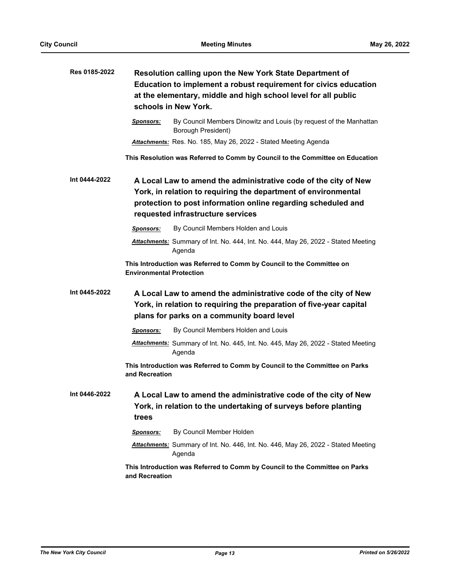| Res 0185-2022 | Resolution calling upon the New York State Department of<br>Education to implement a robust requirement for civics education<br>at the elementary, middle and high school level for all public<br>schools in New York. |                                                                                                                                                                                                                                         |  |
|---------------|------------------------------------------------------------------------------------------------------------------------------------------------------------------------------------------------------------------------|-----------------------------------------------------------------------------------------------------------------------------------------------------------------------------------------------------------------------------------------|--|
|               | <u>Sponsors:</u>                                                                                                                                                                                                       | By Council Members Dinowitz and Louis (by request of the Manhattan<br>Borough President)                                                                                                                                                |  |
|               |                                                                                                                                                                                                                        | Attachments: Res. No. 185, May 26, 2022 - Stated Meeting Agenda                                                                                                                                                                         |  |
|               |                                                                                                                                                                                                                        | This Resolution was Referred to Comm by Council to the Committee on Education                                                                                                                                                           |  |
| Int 0444-2022 |                                                                                                                                                                                                                        | A Local Law to amend the administrative code of the city of New<br>York, in relation to requiring the department of environmental<br>protection to post information online regarding scheduled and<br>requested infrastructure services |  |
|               | <b>Sponsors:</b>                                                                                                                                                                                                       | By Council Members Holden and Louis                                                                                                                                                                                                     |  |
|               |                                                                                                                                                                                                                        | Attachments: Summary of Int. No. 444, Int. No. 444, May 26, 2022 - Stated Meeting<br>Agenda                                                                                                                                             |  |
|               | <b>Environmental Protection</b>                                                                                                                                                                                        | This Introduction was Referred to Comm by Council to the Committee on                                                                                                                                                                   |  |
| Int 0445-2022 |                                                                                                                                                                                                                        | A Local Law to amend the administrative code of the city of New<br>York, in relation to requiring the preparation of five-year capital<br>plans for parks on a community board level                                                    |  |
|               | <b>Sponsors:</b>                                                                                                                                                                                                       | By Council Members Holden and Louis                                                                                                                                                                                                     |  |
|               |                                                                                                                                                                                                                        | Attachments: Summary of Int. No. 445, Int. No. 445, May 26, 2022 - Stated Meeting<br>Agenda                                                                                                                                             |  |
|               | and Recreation                                                                                                                                                                                                         | This Introduction was Referred to Comm by Council to the Committee on Parks                                                                                                                                                             |  |
| Int 0446-2022 | trees                                                                                                                                                                                                                  | A Local Law to amend the administrative code of the city of New<br>York, in relation to the undertaking of surveys before planting                                                                                                      |  |
|               | <b>Sponsors:</b>                                                                                                                                                                                                       | By Council Member Holden                                                                                                                                                                                                                |  |
|               |                                                                                                                                                                                                                        | Attachments: Summary of Int. No. 446, Int. No. 446, May 26, 2022 - Stated Meeting<br>Agenda                                                                                                                                             |  |
|               | and Recreation                                                                                                                                                                                                         | This Introduction was Referred to Comm by Council to the Committee on Parks                                                                                                                                                             |  |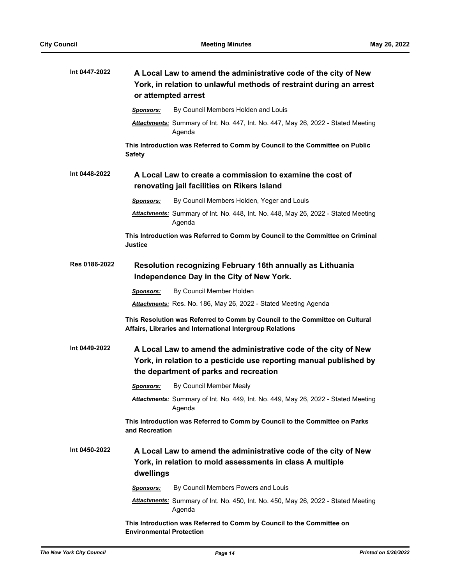| Int 0447-2022 | A Local Law to amend the administrative code of the city of New<br>York, in relation to unlawful methods of restraint during an arrest<br>or attempted arrest                   |                                                                                                                                           |  |
|---------------|---------------------------------------------------------------------------------------------------------------------------------------------------------------------------------|-------------------------------------------------------------------------------------------------------------------------------------------|--|
|               | <b>Sponsors:</b>                                                                                                                                                                | By Council Members Holden and Louis                                                                                                       |  |
|               |                                                                                                                                                                                 | Attachments: Summary of Int. No. 447, Int. No. 447, May 26, 2022 - Stated Meeting<br>Agenda                                               |  |
|               | <b>Safety</b>                                                                                                                                                                   | This Introduction was Referred to Comm by Council to the Committee on Public                                                              |  |
| Int 0448-2022 |                                                                                                                                                                                 | A Local Law to create a commission to examine the cost of<br>renovating jail facilities on Rikers Island                                  |  |
|               | Sponsors:                                                                                                                                                                       | By Council Members Holden, Yeger and Louis                                                                                                |  |
|               |                                                                                                                                                                                 | Attachments: Summary of Int. No. 448, Int. No. 448, May 26, 2022 - Stated Meeting<br>Agenda                                               |  |
|               | <b>Justice</b>                                                                                                                                                                  | This Introduction was Referred to Comm by Council to the Committee on Criminal                                                            |  |
| Res 0186-2022 |                                                                                                                                                                                 | Resolution recognizing February 16th annually as Lithuania<br>Independence Day in the City of New York.                                   |  |
|               | <b>Sponsors:</b>                                                                                                                                                                | By Council Member Holden                                                                                                                  |  |
|               |                                                                                                                                                                                 | Attachments: Res. No. 186, May 26, 2022 - Stated Meeting Agenda                                                                           |  |
|               |                                                                                                                                                                                 | This Resolution was Referred to Comm by Council to the Committee on Cultural<br>Affairs, Libraries and International Intergroup Relations |  |
| Int 0449-2022 | A Local Law to amend the administrative code of the city of New<br>York, in relation to a pesticide use reporting manual published by<br>the department of parks and recreation |                                                                                                                                           |  |
|               | <b>Sponsors:</b>                                                                                                                                                                | By Council Member Mealy                                                                                                                   |  |
|               |                                                                                                                                                                                 | Attachments: Summary of Int. No. 449, Int. No. 449, May 26, 2022 - Stated Meeting<br>Agenda                                               |  |
|               | and Recreation                                                                                                                                                                  | This Introduction was Referred to Comm by Council to the Committee on Parks                                                               |  |
| Int 0450-2022 | dwellings                                                                                                                                                                       | A Local Law to amend the administrative code of the city of New<br>York, in relation to mold assessments in class A multiple              |  |
|               | Sponsors:                                                                                                                                                                       | By Council Members Powers and Louis                                                                                                       |  |
|               |                                                                                                                                                                                 | <b>Attachments:</b> Summary of Int. No. 450, Int. No. 450, May 26, 2022 - Stated Meeting<br>Agenda                                        |  |
|               | <b>Environmental Protection</b>                                                                                                                                                 | This Introduction was Referred to Comm by Council to the Committee on                                                                     |  |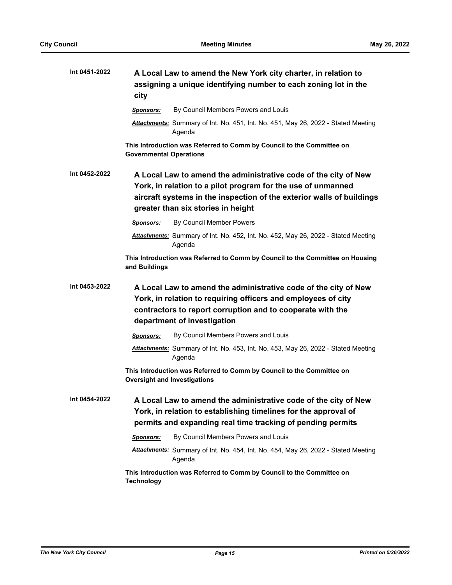| Int 0451-2022 | A Local Law to amend the New York city charter, in relation to<br>assigning a unique identifying number to each zoning lot in the<br>city                                                                                                      |
|---------------|------------------------------------------------------------------------------------------------------------------------------------------------------------------------------------------------------------------------------------------------|
|               | By Council Members Powers and Louis<br><b>Sponsors:</b>                                                                                                                                                                                        |
|               | Attachments: Summary of Int. No. 451, Int. No. 451, May 26, 2022 - Stated Meeting<br>Agenda                                                                                                                                                    |
|               | This Introduction was Referred to Comm by Council to the Committee on<br><b>Governmental Operations</b>                                                                                                                                        |
| Int 0452-2022 | A Local Law to amend the administrative code of the city of New<br>York, in relation to a pilot program for the use of unmanned<br>aircraft systems in the inspection of the exterior walls of buildings<br>greater than six stories in height |
|               | By Council Member Powers<br>Sponsors:                                                                                                                                                                                                          |
|               | Attachments: Summary of Int. No. 452, Int. No. 452, May 26, 2022 - Stated Meeting<br>Agenda                                                                                                                                                    |
|               | This Introduction was Referred to Comm by Council to the Committee on Housing<br>and Buildings                                                                                                                                                 |
| Int 0453-2022 | A Local Law to amend the administrative code of the city of New<br>York, in relation to requiring officers and employees of city<br>contractors to report corruption and to cooperate with the<br>department of investigation                  |
|               | By Council Members Powers and Louis<br>Sponsors:                                                                                                                                                                                               |
|               | Attachments: Summary of Int. No. 453, Int. No. 453, May 26, 2022 - Stated Meeting<br>Agenda                                                                                                                                                    |
|               | This Introduction was Referred to Comm by Council to the Committee on<br><b>Oversight and Investigations</b>                                                                                                                                   |
| Int 0454-2022 | A Local Law to amend the administrative code of the city of New<br>York, in relation to establishing timelines for the approval of<br>permits and expanding real time tracking of pending permits                                              |
|               | By Council Members Powers and Louis<br>Sponsors:                                                                                                                                                                                               |
|               | Attachments: Summary of Int. No. 454, Int. No. 454, May 26, 2022 - Stated Meeting<br>Agenda                                                                                                                                                    |
|               | This Introduction was Referred to Comm by Council to the Committee on<br><b>Technology</b>                                                                                                                                                     |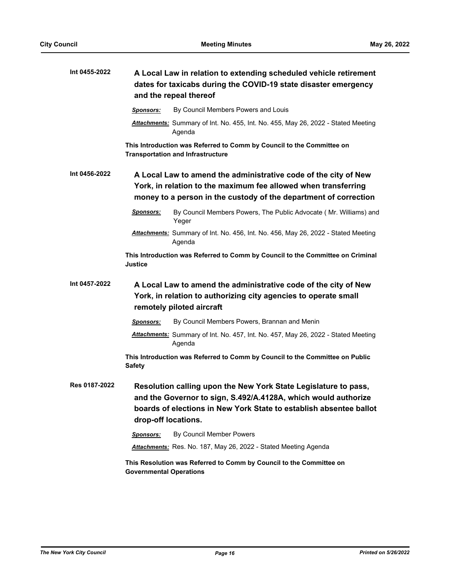| Int 0455-2022 | A Local Law in relation to extending scheduled vehicle retirement<br>dates for taxicabs during the COVID-19 state disaster emergency<br>and the repeal thereof                                                                 |
|---------------|--------------------------------------------------------------------------------------------------------------------------------------------------------------------------------------------------------------------------------|
|               | By Council Members Powers and Louis<br><b>Sponsors:</b>                                                                                                                                                                        |
|               | Attachments: Summary of Int. No. 455, Int. No. 455, May 26, 2022 - Stated Meeting<br>Agenda                                                                                                                                    |
|               | This Introduction was Referred to Comm by Council to the Committee on<br><b>Transportation and Infrastructure</b>                                                                                                              |
| Int 0456-2022 | A Local Law to amend the administrative code of the city of New<br>York, in relation to the maximum fee allowed when transferring<br>money to a person in the custody of the department of correction                          |
|               | By Council Members Powers, The Public Advocate (Mr. Williams) and<br><u>Sponsors:</u><br>Yeger                                                                                                                                 |
|               | Attachments: Summary of Int. No. 456, Int. No. 456, May 26, 2022 - Stated Meeting<br>Agenda                                                                                                                                    |
|               | This Introduction was Referred to Comm by Council to the Committee on Criminal<br>Justice                                                                                                                                      |
| Int 0457-2022 | A Local Law to amend the administrative code of the city of New<br>York, in relation to authorizing city agencies to operate small<br>remotely piloted aircraft                                                                |
|               | By Council Members Powers, Brannan and Menin<br>Sponsors:                                                                                                                                                                      |
|               | Attachments: Summary of Int. No. 457, Int. No. 457, May 26, 2022 - Stated Meeting<br>Agenda                                                                                                                                    |
|               | This Introduction was Referred to Comm by Council to the Committee on Public<br><b>Safety</b>                                                                                                                                  |
| Res 0187-2022 | Resolution calling upon the New York State Legislature to pass,<br>and the Governor to sign, S.492/A.4128A, which would authorize<br>boards of elections in New York State to establish absentee ballot<br>drop-off locations. |
|               | By Council Member Powers<br>Sponsors:                                                                                                                                                                                          |
|               | Attachments: Res. No. 187, May 26, 2022 - Stated Meeting Agenda                                                                                                                                                                |
|               | This Resolution was Referred to Comm by Council to the Committee on<br><b>Governmental Operations</b>                                                                                                                          |